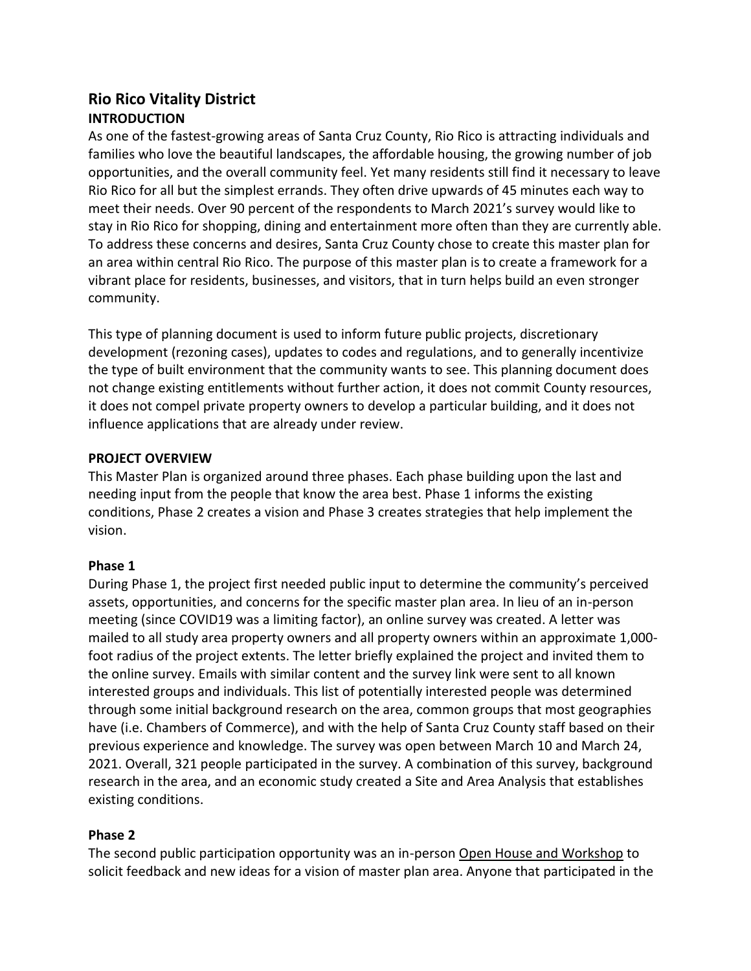# **Rio Rico Vitality District INTRODUCTION**

As one of the fastest-growing areas of Santa Cruz County, Rio Rico is attracting individuals and families who love the beautiful landscapes, the affordable housing, the growing number of job opportunities, and the overall community feel. Yet many residents still find it necessary to leave Rio Rico for all but the simplest errands. They often drive upwards of 45 minutes each way to meet their needs. Over 90 percent of the respondents to March 2021's survey would like to stay in Rio Rico for shopping, dining and entertainment more often than they are currently able. To address these concerns and desires, Santa Cruz County chose to create this master plan for an area within central Rio Rico. The purpose of this master plan is to create a framework for a vibrant place for residents, businesses, and visitors, that in turn helps build an even stronger community.

This type of planning document is used to inform future public projects, discretionary development (rezoning cases), updates to codes and regulations, and to generally incentivize the type of built environment that the community wants to see. This planning document does not change existing entitlements without further action, it does not commit County resources, it does not compel private property owners to develop a particular building, and it does not influence applications that are already under review.

#### **PROJECT OVERVIEW**

This Master Plan is organized around three phases. Each phase building upon the last and needing input from the people that know the area best. Phase 1 informs the existing conditions, Phase 2 creates a vision and Phase 3 creates strategies that help implement the vision.

## **Phase 1**

During Phase 1, the project first needed public input to determine the community's perceived assets, opportunities, and concerns for the specific master plan area. In lieu of an in-person meeting (since COVID19 was a limiting factor), an online survey was created. A letter was mailed to all study area property owners and all property owners within an approximate 1,000 foot radius of the project extents. The letter briefly explained the project and invited them to the online survey. Emails with similar content and the survey link were sent to all known interested groups and individuals. This list of potentially interested people was determined through some initial background research on the area, common groups that most geographies have (i.e. Chambers of Commerce), and with the help of Santa Cruz County staff based on their previous experience and knowledge. The survey was open between March 10 and March 24, 2021. Overall, 321 people participated in the survey. A combination of this survey, background research in the area, and an economic study created a Site and Area Analysis that establishes existing conditions.

## **Phase 2**

The second public participation opportunity was an in-person Open House and Workshop to solicit feedback and new ideas for a vision of master plan area. Anyone that participated in the